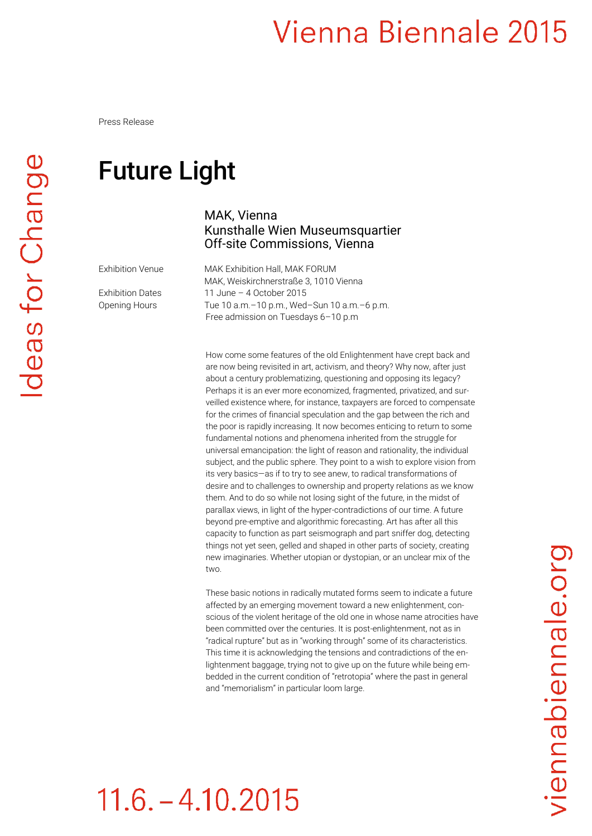Press Release

#### Future Light

Exhibition Venue MAK Exhibition Hall, MAK FORUM MAK, Weiskirchnerstraße 3, 1010 Vienna Exhibition Dates 11 June – 4 October 2015 Opening Hours Tue 10 a.m. - 10 p.m., Wed-Sun 10 a.m. - 6 p.m. Free admission on Tuesdays 6–10 p.m

Kunsthalle Wien Museumsquartier Off-site Commissions, Vienna

MAK, Vienna

How come some features of the old Enlightenment have crept back and are now being revisited in art, activism, and theory? Why now, after just about a century problematizing, questioning and opposing its legacy? Perhaps it is an ever more economized, fragmented, privatized, and surveilled existence where, for instance, taxpayers are forced to compensate for the crimes of financial speculation and the gap between the rich and the poor is rapidly increasing. It now becomes enticing to return to some fundamental notions and phenomena inherited from the struggle for universal emancipation: the light of reason and rationality, the individual subject, and the public sphere. They point to a wish to explore vision from its very basics—as if to try to see anew, to radical transformations of desire and to challenges to ownership and property relations as we know them. And to do so while not losing sight of the future, in the midst of parallax views, in light of the hyper-contradictions of our time. A future beyond pre-emptive and algorithmic forecasting. Art has after all this capacity to function as part seismograph and part sniffer dog, detecting things not yet seen, gelled and shaped in other parts of society, creating new imaginaries. Whether utopian or dystopian, or an unclear mix of the two.

These basic notions in radically mutated forms seem to indicate a future affected by an emerging movement toward a new enlightenment, conscious of the violent heritage of the old one in whose name atrocities have been committed over the centuries. It is post-enlightenment, not as in "radical rupture" but as in "working through" some of its characteristics. This time it is acknowledging the tensions and contradictions of the enlightenment baggage, trying not to give up on the future while being embedded in the current condition of "retrotopia" where the past in general and "memorialism" in particular loom large.

# $11.6 - 4.10.2015$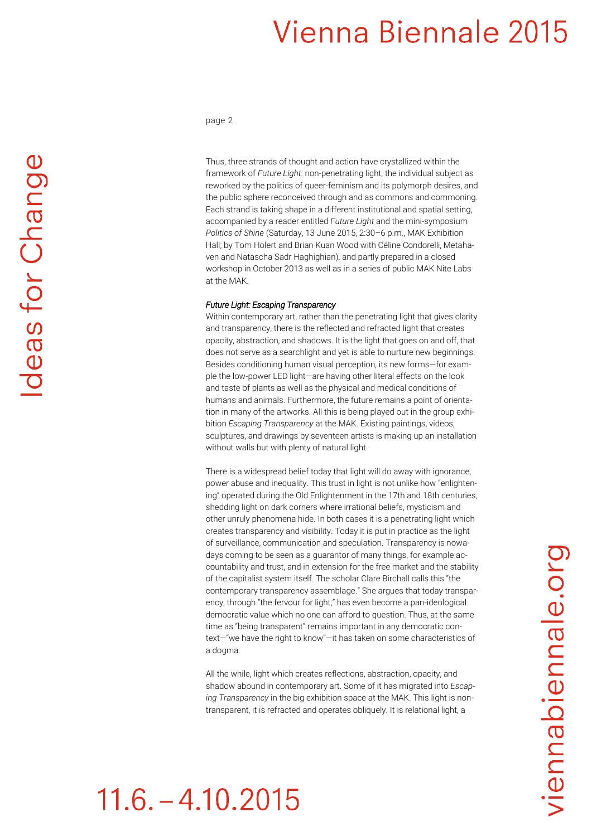page 2

Thus, three strands of thought and action have crystallized within the framework of *Future Light*: non-penetrating light, the individual subject as reworked by the politics of queer-feminism and its polymorph desires, and the public sphere reconceived through and as commons and commoning. Each strand is taking shape in a different institutional and spatial setting, accompanied by a reader entitled *Future Light* and the mini-symposium *Politics of Shine* (Saturday, 13 June 2015, 2:30–6 p.m., MAK Exhibition Hall; by Tom Holert and Brian Kuan Wood with Céline Condorelli, Metahaven and Natascha Sadr Haghighian), and partly prepared in a closed workshop in October 2013 as well as in a series of public MAK Nite Labs at the MAK.

#### *Future Light: Escaping Transparency*

Within contemporary art, rather than the penetrating light that gives clarity and transparency, there is the reflected and refracted light that creates opacity, abstraction, and shadows. It is the light that goes on and off, that does not serve as a searchlight and yet is able to nurture new beginnings. Besides conditioning human visual perception, its new forms—for example the low-power LED light—are having other literal effects on the look and taste of plants as well as the physical and medical conditions of humans and animals. Furthermore, the future remains a point of orientation in many of the artworks. All this is being played out in the group exhibition *Escaping Transparency* at the MAK. Existing paintings, videos, sculptures, and drawings by seventeen artists is making up an installation without walls but with plenty of natural light.

There is a widespread belief today that light will do away with ignorance, power abuse and inequality. This trust in light is not unlike how "enlightening" operated during the Old Enlightenment in the 17th and 18th centuries, shedding light on dark corners where irrational beliefs, mysticism and other unruly phenomena hide. In both cases it is a penetrating light which creates transparency and visibility. Today it is put in practice as the light of surveillance, communication and speculation. Transparency is nowadays coming to be seen as a guarantor of many things, for example accountability and trust, and in extension for the free market and the stability of the capitalist system itself. The scholar Clare Birchall calls this "the contemporary transparency assemblage." She argues that today transparency, through "the fervour for light," has even become a pan-ideological democratic value which no one can afford to question. Thus, at the same time as "being transparent" remains important in any democratic context—"we have the right to know"—it has taken on some characteristics of a dogma.

All the while, light which creates reflections, abstraction, opacity, and shadow abound in contemporary art. Some of it has migrated into *Escaping Transparency* in the big exhibition space at the MAK. This light is nontransparent, it is refracted and operates obliquely. It is relational light, a

## $11.6 - 4.10.2015$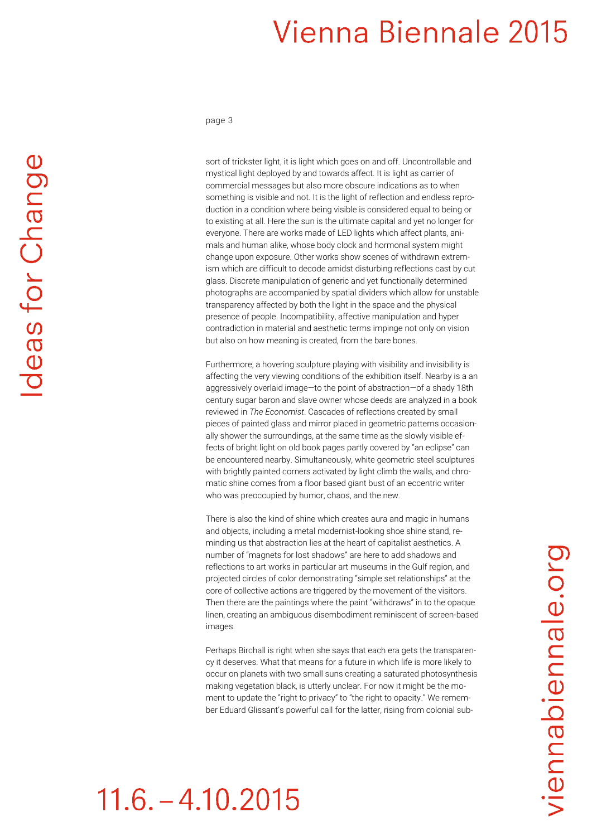page 3

sort of trickster light, it is light which goes on and off. Uncontrollable and mystical light deployed by and towards affect. It is light as carrier of commercial messages but also more obscure indications as to when something is visible and not. It is the light of reflection and endless reproduction in a condition where being visible is considered equal to being or to existing at all. Here the sun is the ultimate capital and yet no longer for everyone. There are works made of LED lights which affect plants, animals and human alike, whose body clock and hormonal system might change upon exposure. Other works show scenes of withdrawn extremism which are difficult to decode amidst disturbing reflections cast by cut glass. Discrete manipulation of generic and yet functionally determined photographs are accompanied by spatial dividers which allow for unstable transparency affected by both the light in the space and the physical presence of people. Incompatibility, affective manipulation and hyper contradiction in material and aesthetic terms impinge not only on vision but also on how meaning is created, from the bare bones.

Furthermore, a hovering sculpture playing with visibility and invisibility is affecting the very viewing conditions of the exhibition itself. Nearby is a an aggressively overlaid image—to the point of abstraction—of a shady 18th century sugar baron and slave owner whose deeds are analyzed in a book reviewed in *The Economist*. Cascades of reflections created by small pieces of painted glass and mirror placed in geometric patterns occasionally shower the surroundings, at the same time as the slowly visible effects of bright light on old book pages partly covered by "an eclipse" can be encountered nearby. Simultaneously, white geometric steel sculptures with brightly painted corners activated by light climb the walls, and chromatic shine comes from a floor based giant bust of an eccentric writer who was preoccupied by humor, chaos, and the new.

There is also the kind of shine which creates aura and magic in humans and objects, including a metal modernist-looking shoe shine stand, reminding us that abstraction lies at the heart of capitalist aesthetics. A number of "magnets for lost shadows" are here to add shadows and reflections to art works in particular art museums in the Gulf region, and projected circles of color demonstrating "simple set relationships" at the core of collective actions are triggered by the movement of the visitors. Then there are the paintings where the paint "withdraws" in to the opaque linen, creating an ambiguous disembodiment reminiscent of screen-based images.

Perhaps Birchall is right when she says that each era gets the transparency it deserves. What that means for a future in which life is more likely to occur on planets with two small suns creating a saturated photosynthesis making vegetation black, is utterly unclear. For now it might be the moment to update the "right to privacy" to "the right to opacity." We remember Eduard Glissant's powerful call for the latter, rising from colonial sub-

## $11.6. - 4.10.2015$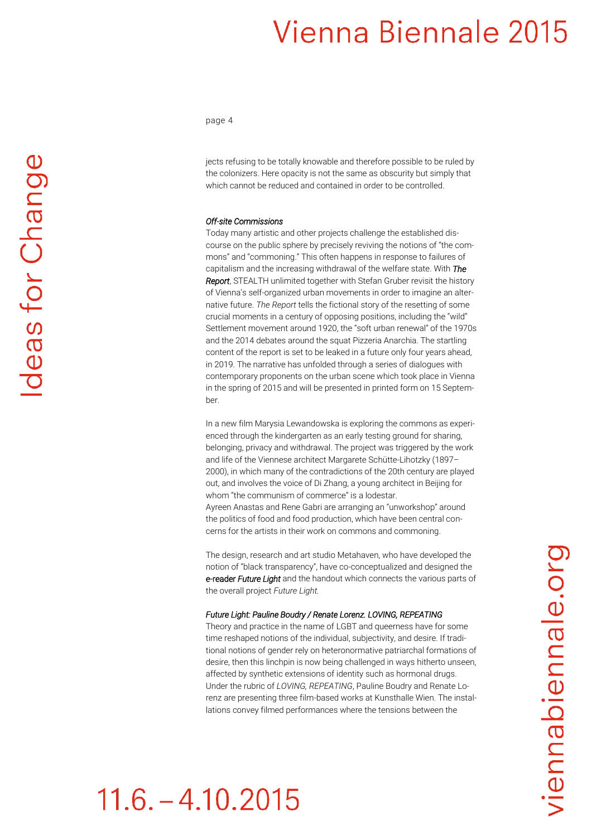page 4

jects refusing to be totally knowable and therefore possible to be ruled by the colonizers. Here opacity is not the same as obscurity but simply that which cannot be reduced and contained in order to be controlled.

#### *Off-site Commissions*

Today many artistic and other projects challenge the established discourse on the public sphere by precisely reviving the notions of "the commons" and "commoning." This often happens in response to failures of capitalism and the increasing withdrawal of the welfare state. With *The Report*, STEALTH unlimited together with Stefan Gruber revisit the history of Vienna's self-organized urban movements in order to imagine an alternative future. *The Report* tells the fictional story of the resetting of some crucial moments in a century of opposing positions, including the "wild" Settlement movement around 1920, the "soft urban renewal" of the 1970s and the 2014 debates around the squat Pizzeria Anarchia. The startling content of the report is set to be leaked in a future only four years ahead, in 2019. The narrative has unfolded through a series of dialogues with contemporary proponents on the urban scene which took place in Vienna in the spring of 2015 and will be presented in printed form on 15 September.

In a new film Marysia Lewandowska is exploring the commons as experienced through the kindergarten as an early testing ground for sharing. belonging, privacy and withdrawal. The project was triggered by the work and life of the Viennese architect Margarete Schütte-Lihotzky (1897– 2000), in which many of the contradictions of the 20th century are played out, and involves the voice of Di Zhang, a young architect in Beijing for whom "the communism of commerce" is a lodestar. Ayreen Anastas and Rene Gabri are arranging an "unworkshop" around the politics of food and food production, which have been central concerns for the artists in their work on commons and commoning.

The design, research and art studio Metahaven, who have developed the notion of "black transparency", have co-conceptualized and designed the e-reader *Future Light* and the handout which connects the various parts of the overall project *Future Light.*

#### *Future Light: Pauline Boudry / Renate Lorenz. LOVING, REPEATING*

Theory and practice in the name of LGBT and queerness have for some time reshaped notions of the individual, subjectivity, and desire. If traditional notions of gender rely on heteronormative patriarchal formations of desire, then this linchpin is now being challenged in ways hitherto unseen, affected by synthetic extensions of identity such as hormonal drugs. Under the rubric of *LOVING, REPEATING*, Pauline Boudry and Renate Lorenz are presenting three film-based works at Kunsthalle Wien. The installations convey filmed performances where the tensions between the

## $11.6 - 4.10.2015$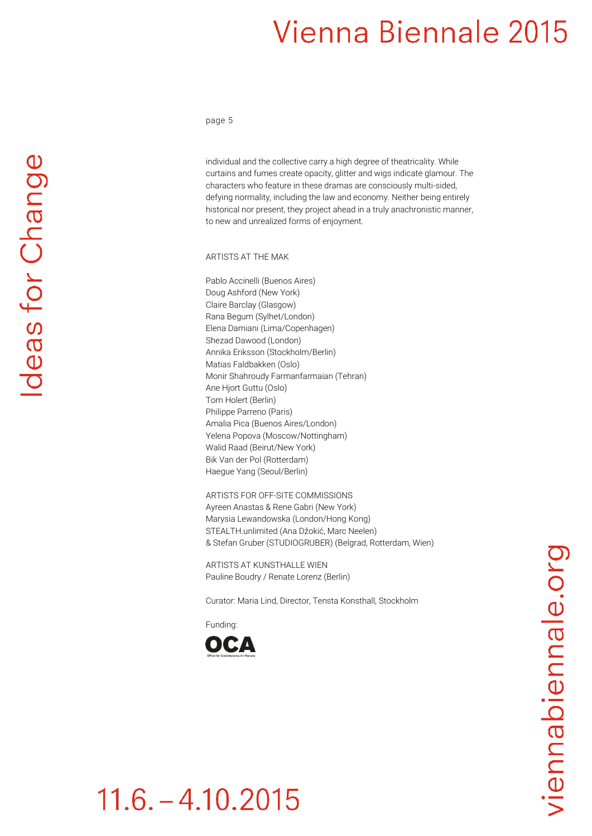page 5

individual and the collective carry a high degree of theatricality. While curtains and fumes create opacity, glitter and wigs indicate glamour. The characters who feature in these dramas are consciously multi-sided, defying normality, including the law and economy. Neither being entirely historical nor present, they project ahead in a truly anachronistic manner, to new and unrealized forms of enjoyment.

ARTISTS AT THE MAK

Pablo Accinelli (Buenos Aires) Doug Ashford (New York) Claire Barclay (Glasgow) Rana Begum (Sylhet/London) Elena Damiani (Lima/Copenhagen) Shezad Dawood (London) Annika Eriksson (Stockholm/Berlin) Matias Faldbakken (Oslo) Monir Shahroudy Farmanfarmaian (Tehran) Ane Hjort Guttu (Oslo) Tom Holert (Berlin) Philippe Parreno (Paris) Amalia Pica (Buenos Aires/London) Yelena Popova (Moscow/Nottingham) Walid Raad (Beirut/New York) Bik Van der Pol (Rotterdam) Haegue Yang (Seoul/Berlin)

ARTISTS FOR OFF-SITE COMMISSIONS Ayreen Anastas & Rene Gabri (New York) Marysia Lewandowska (London/Hong Kong) STEALTH.unlimited (Ana Džokić, Marc Neelen) & Stefan Gruber (STUDIOGRUBER) (Belgrad, Rotterdam, Wien)

ARTISTS AT KUNSTHALLE WIEN Pauline Boudry / Renate Lorenz (Berlin)

Curator: Maria Lind, Director, Tensta Konsthall, Stockholm

Funding: